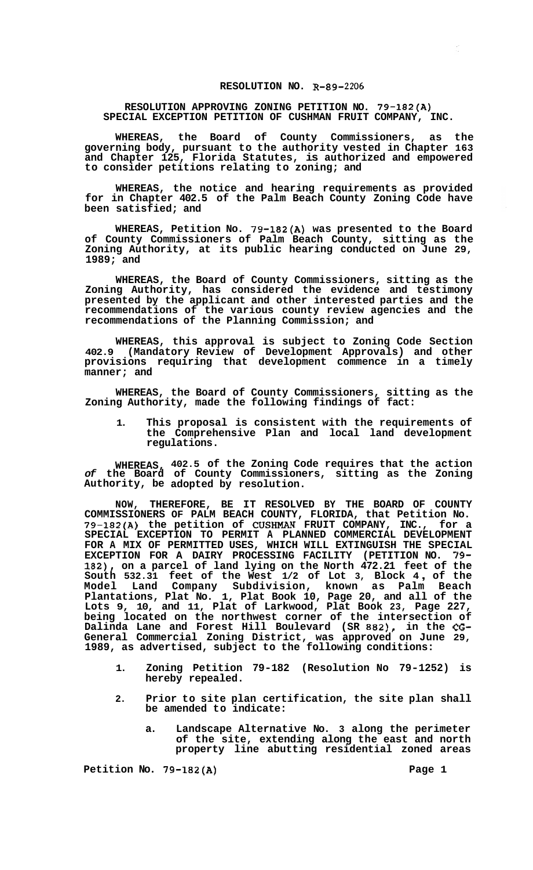## **RESOLUTION NO. R-89-2206**

## **RESOLUTION APPROVING ZONING PETITION NO. 79-182(A) SPECIAL EXCEPTION PETITION OF CUSHMAN FRUIT COMPANY, INC.**

**WHEREAS, the Board of County Commissioners, as the governing body, pursuant to the authority vested in Chapter 163 and Chapter 125, Florida Statutes, is authorized and empowered to consider petitions relating to zoning; and** 

**WHEREAS, the notice and hearing requirements as provided for in Chapter 402.5 of the Palm Beach County Zoning Code have been satisfied; and** 

**WHEREAS, Petition No. 79-182(A) was presented to the Board of County Commissioners of Palm Beach County, sitting as the Zoning Authority, at its public hearing conducted on June 29, 1989; and** 

**WHEREAS, the Board of County Commissioners, sitting as the Zoning Authority, has considered the evidence and testimony presented by the applicant and other interested parties and the recommendations of the various county review agencies and the recommendations of the Planning Commission; and** 

**WHEREAS, this approval is subject to Zoning Code Section 402.9 (Mandatory Review of Development Approvals) and other provisions requiring that development commence in a timely manner; and** 

**WHEREAS, the Board of County Commissioners, sitting as the Zoning Authority, made the following findings of fact:** 

**1. This proposal is consistent with the requirements of the Comprehensive Plan and local land development regulations.** 

**WHEREAS, 402.5 of the Zoning Code requires that the action**  *of* **the Board of County Commissioners, sitting as the Zoning Authority, be adopted by resolution.** 

**NOW, THEREFORE, BE IT RESOLVED BY THE BOARD OF COUNTY COMMISSIONERS OF PALM BEACH COUNTY, FLORIDA, that Petition No. 79-182(A) the petition of CUSHMAN FRUIT COMPANY, INC., for a SPECIAL EXCEPTION TO PERMIT A PLANNED COMMERCIAL DEVELOPMENT FOR A MIX OF PERMITTED USES, WHICH WILL EXTINGUISH THE SPECIAL EXCEPTION FOR A DAIRY PROCESSING FACILITY (PETITION NO. 79- 182), on a parcel of land lying on the North 472.21 feet of the South 532.31 feet of the West 1/2 of Lot 3, Block 4** , **of the Model Land Company Subdivision, known as Palm Beach Plantations, Plat No. 1, Plat Book 10, Page 20, and all of the Lots 9, 10, and 11, Plat of Larkwood, Plat Book 23, Page 227, being located on the northwest corner of the intersection of Dalinda Lane and Forest Hill Boulevard (SR 882), in the CG-General Commercial Zoning District, was approved on June 29, 1989, as advertised, subject to the following conditions:** 

- **1. Zoning Petition 79-182 (Resolution No 79-1252) is hereby repealed.**
- **2. Prior to site plan certification, the site plan shall be amended to indicate:** 
	- **a. Landscape Alternative No. 3 along the perimeter of the site, extending along the east and north property line abutting residential zoned areas**

Petition No. 79-182(A) **Page 1**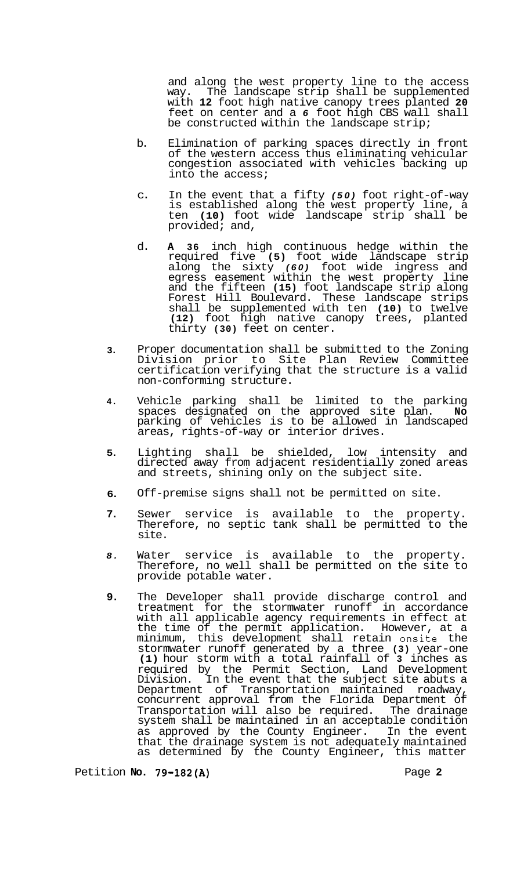and along the west property line to the access way. The landscape strip shall be supplemented with **12** foot high native canopy trees planted **20**  feet on center and a *6* foot high CBS wall shall be constructed within the landscape strip;

- b. Elimination of parking spaces directly in front of the western access thus eliminating vehicular congestion associated with vehicles backing up into the access;
- c. In the event that a fifty *(50)* foot right-of-way is established along the west property line, a ten **(10)** foot wide landscape strip shall be provided; and,
- d. **A 36** inch high continuous hedge within the required five **(5)** foot wide landscape strip along the sixty *(60)* foot wide ingress and egress easement within the west property line and the fifteen **(15)** foot landscape strip along Forest Hill Boulevard. These landscape strips shall be supplemented with ten **(10)** to twelve **(12)** foot high native canopy trees, planted thirty **(30)** feet on center.
- **3.**  Proper documentation shall be submitted to the Zoning Division prior to Site Plan Review Committee certification verifying that the structure is a valid non-conforming structure.
- **4.**  Vehicle parking shall be limited to the parking spaces designated on the approved site plan. **No**  parking of vehicles is to be allowed in landscaped areas, rights-of-way or interior drives.
- **5.**  Lighting shall be shielded, low intensity and directed away from adjacent residentially zoned areas and streets, shining only on the subject site.
- **6.**  Off-premise signs shall not be permitted on site.
- **7.**  Sewer service is available to the property. Therefore, no septic tank shall be permitted to the site.
- *8.*  Water service is available to the property. Therefore, no well shall be permitted on the site to provide potable water.
- **9.**  The Developer shall provide discharge control and treatment for the stormwater runoff in accordance with all applicable agency requirements in effect at the time of the permit application. However, at a minimum, this development shall retain onsite the stormwater runoff generated by a three **(3)** year-one **(1)** hour storm with a total rainfall of **3** inches as required by the Permit Section, Land Development Division. In the event that the subject site abuts a Department of Transportation maintained roadway, concurrent approval from the Florida Department of Transportation will also be required. The drainage system shall be maintained in an acceptable condition as approved by the County Engineer. In the event that the drainage system is not adequately maintained as determined by the County Engineer, this matter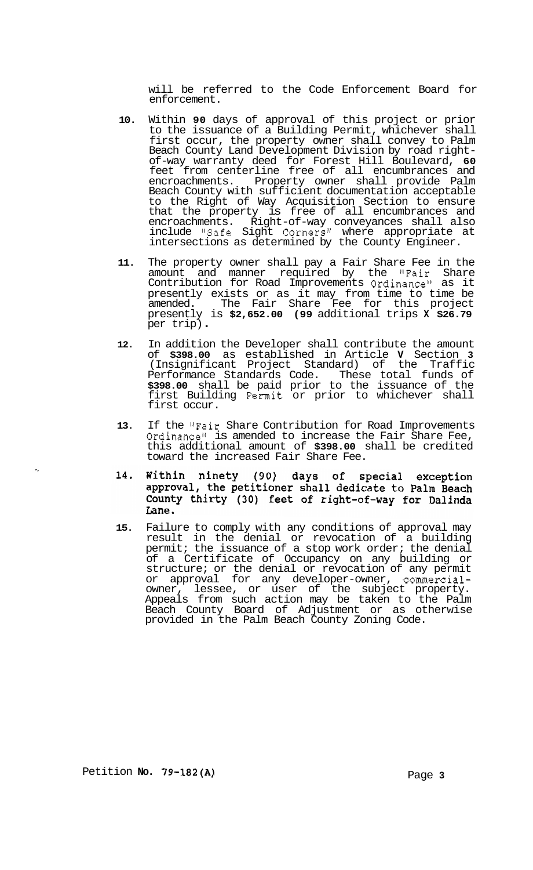will be referred to the Code Enforcement Board for enforcement.

- **10.** Within **90** days of approval of this project or prior to the issuance of a Building Permit, whichever shall first occur, the property owner shall convey to Palm Beach County Land Development Division by road rightof-way warranty deed for Forest Hill Boulevard, **60**  feet from centerline free of all encumbrances and encroachments. Property owner shall provide Palm Beach County with sufficient documentation acceptable to the Right of Way Acquisition Section to ensure that the property is free of all encumbrances and encroachments. Right-of-way conveyances shall also include "Safe Sight Corners" where appropriate at intersections as determined by the County Engineer.
- **11.** The property owner shall pay a Fair Share Fee in the amount and manner required by the "Fair Share Contribution for Road Improvements Ordinance" as it presently exists or as it may from time to time be amended. The Fair Share Fee for this project presently is **\$2,652.00 (99** additional trips **X \$26.79**  per trip) .
- **12.** In addition the Developer shall contribute the amount of **\$398.00** as established in Article **V** Section **3**  (Insignificant Project Standard) of the Traffic Performance Standards Code. These total funds of **\$398.00** shall be paid prior to the issuance of the first Building Permit or prior to whichever shall first occur.
- **13.** If the !'Fair Share Contribution for Road Improvements Ordinance" is amended to increase the Fair Share Fee, this additional amount of **\$398.00** shall be credited toward the increased Fair Share Fee.
- ninety (90) days of 14. Within special exception approval, the petitioner shall dedicate to Palm Beach County thirty (30) feet of right-of-way for Dalinda Lane.
- **15.** Failure to comply with any conditions of approval may result in the denial or revocation of a building permit; the issuance of a stop work order; the denial of a Certificate of Occupancy on any building or structure; or the denial or revocation of any permit or approval for any developer-owner, commercialowner, lessee, or user of the subject property. Appeals from such action may be taken to the Palm Beach County Board of Adjustment or as otherwise provided in the Palm Beach County Zoning Code.

 $\mathcal{L}_\mathbf{z}$